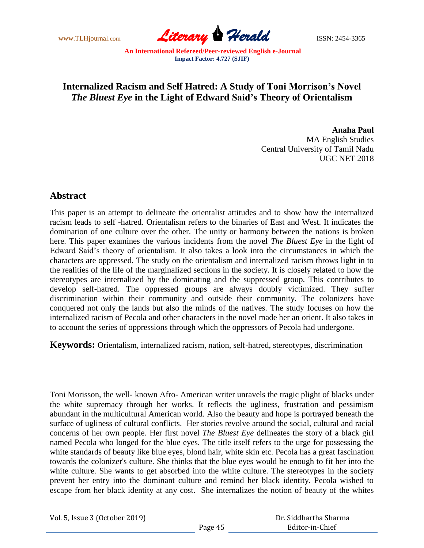www.TLHjournal.com **Literary Herald ISSN: 2454-3365** 

## **Internalized Racism and Self Hatred: A Study of Toni Morrison's Novel** *The Bluest Eye* **in the Light of Edward Said's Theory of Orientalism**

**Anaha Paul** MA English Studies Central University of Tamil Nadu UGC NET 2018

## **Abstract**

This paper is an attempt to delineate the orientalist attitudes and to show how the internalized racism leads to self -hatred. Orientalism refers to the binaries of East and West. It indicates the domination of one culture over the other. The unity or harmony between the nations is broken here. This paper examines the various incidents from the novel *The Bluest Eye* in the light of Edward Said's theory of orientalism. It also takes a look into the circumstances in which the characters are oppressed. The study on the orientalism and internalized racism throws light in to the realities of the life of the marginalized sections in the society. It is closely related to how the stereotypes are internalized by the dominating and the suppressed group. This contributes to develop self-hatred. The oppressed groups are always doubly victimized. They suffer discrimination within their community and outside their community. The colonizers have conquered not only the lands but also the minds of the natives. The study focuses on how the internalized racism of Pecola and other characters in the novel made her an orient. It also takes in to account the series of oppressions through which the oppressors of Pecola had undergone.

**Keywords:** Orientalism, internalized racism, nation, self-hatred, stereotypes, discrimination

Toni Morisson, the well- known Afro- American writer unravels the tragic plight of blacks under the white supremacy through her works. It reflects the ugliness, frustration and pessimism abundant in the multicultural American world. Also the beauty and hope is portrayed beneath the surface of ugliness of cultural conflicts. Her stories revolve around the social, cultural and racial concerns of her own people. Her first novel *The Bluest Eye* delineates the story of a black girl named Pecola who longed for the blue eyes. The title itself refers to the urge for possessing the white standards of beauty like blue eyes, blond hair, white skin etc. Pecola has a great fascination towards the colonizer's culture. She thinks that the blue eyes would be enough to fit her into the white culture. She wants to get absorbed into the white culture. The stereotypes in the society prevent her entry into the dominant culture and remind her black identity. Pecola wished to escape from her black identity at any cost. She internalizes the notion of beauty of the whites

Vol. 5, Issue 3 (October 2019)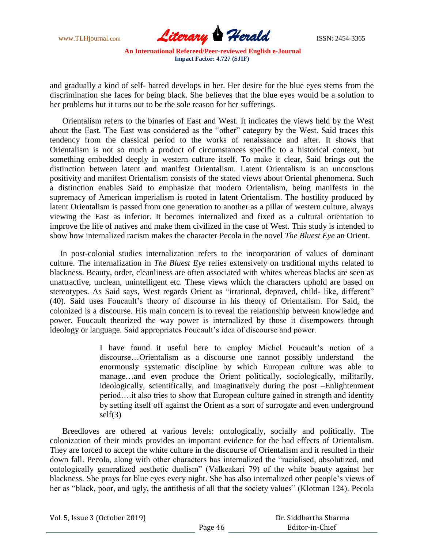

and gradually a kind of self- hatred develops in her. Her desire for the blue eyes stems from the discrimination she faces for being black. She believes that the blue eyes would be a solution to her problems but it turns out to be the sole reason for her sufferings.

 Orientalism refers to the binaries of East and West. It indicates the views held by the West about the East. The East was considered as the "other" category by the West. Said traces this tendency from the classical period to the works of renaissance and after. It shows that Orientalism is not so much a product of circumstances specific to a historical context, but something embedded deeply in western culture itself. To make it clear, Said brings out the distinction between latent and manifest Orientalism. Latent Orientalism is an unconscious positivity and manifest Orientalism consists of the stated views about Oriental phenomena. Such a distinction enables Said to emphasize that modern Orientalism, being manifests in the supremacy of American imperialism is rooted in latent Orientalism. The hostility produced by latent Orientalism is passed from one generation to another as a pillar of western culture, always viewing the East as inferior. It becomes internalized and fixed as a cultural orientation to improve the life of natives and make them civilized in the case of West. This study is intended to show how internalized racism makes the character Pecola in the novel *The Bluest Eye* an Orient.

 In post-colonial studies internalization refers to the incorporation of values of dominant culture. The internalization in *The Bluest Eye* relies extensively on traditional myths related to blackness. Beauty, order, cleanliness are often associated with whites whereas blacks are seen as unattractive, unclean, unintelligent etc. These views which the characters uphold are based on stereotypes. As Said says, West regards Orient as "irrational, depraved, child- like, different" (40). Said uses Foucault's theory of discourse in his theory of Orientalism. For Said, the colonized is a discourse. His main concern is to reveal the relationship between knowledge and power. Foucault theorized the way power is internalized by those it disempowers through ideology or language. Said appropriates Foucault's idea of discourse and power.

> I have found it useful here to employ Michel Foucault's notion of a discourse…Orientalism as a discourse one cannot possibly understand the enormously systematic discipline by which European culture was able to manage…and even produce the Orient politically, sociologically, militarily, ideologically, scientifically, and imaginatively during the post –Enlightenment period….it also tries to show that European culture gained in strength and identity by setting itself off against the Orient as a sort of surrogate and even underground self(3)

 Breedloves are othered at various levels: ontologically, socially and politically. The colonization of their minds provides an important evidence for the bad effects of Orientalism. They are forced to accept the white culture in the discourse of Orientalism and it resulted in their down fall. Pecola, along with other characters has internalized the "racialised, absolutized, and ontologically generalized aesthetic dualism" (Valkeakari 79) of the white beauty against her blackness. She prays for blue eyes every night. She has also internalized other people's views of her as "black, poor, and ugly, the antithesis of all that the society values" (Klotman 124). Pecola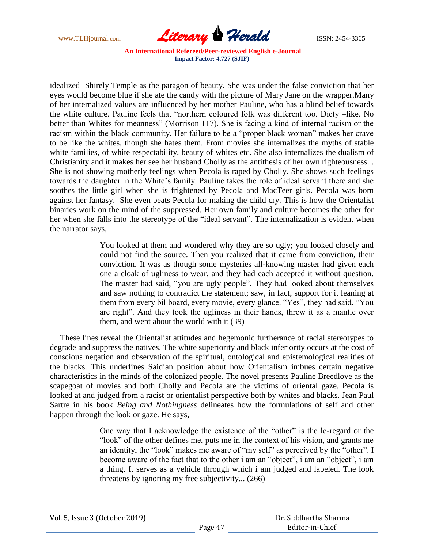

idealized Shirely Temple as the paragon of beauty. She was under the false conviction that her eyes would become blue if she ate the candy with the picture of Mary Jane on the wrapper.Many of her internalized values are influenced by her mother Pauline, who has a blind belief towards the white culture. Pauline feels that "northern coloured folk was different too. Dicty –like. No better than Whites for meanness" (Morrison 117). She is facing a kind of internal racism or the racism within the black community. Her failure to be a "proper black woman" makes her crave to be like the whites, though she hates them. From movies she internalizes the myths of stable white families, of white respectability, beauty of whites etc. She also internalizes the dualism of Christianity and it makes her see her husband Cholly as the antithesis of her own righteousness. . She is not showing motherly feelings when Pecola is raped by Cholly. She shows such feelings towards the daughter in the White's family. Pauline takes the role of ideal servant there and she soothes the little girl when she is frightened by Pecola and MacTeer girls. Pecola was born against her fantasy. She even beats Pecola for making the child cry. This is how the Orientalist binaries work on the mind of the suppressed. Her own family and culture becomes the other for her when she falls into the stereotype of the "ideal servant". The internalization is evident when the narrator says,

> You looked at them and wondered why they are so ugly; you looked closely and could not find the source. Then you realized that it came from conviction, their conviction. It was as though some mysteries all-knowing master had given each one a cloak of ugliness to wear, and they had each accepted it without question. The master had said, "you are ugly people". They had looked about themselves and saw nothing to contradict the statement; saw, in fact, support for it leaning at them from every billboard, every movie, every glance. "Yes", they had said. "You are right". And they took the ugliness in their hands, threw it as a mantle over them, and went about the world with it (39)

 These lines reveal the Orientalist attitudes and hegemonic furtherance of racial stereotypes to degrade and suppress the natives. The white superiority and black inferiority occurs at the cost of conscious negation and observation of the spiritual, ontological and epistemological realities of the blacks. This underlines Saidian position about how Orientalism imbues certain negative characteristics in the minds of the colonized people. The novel presents Pauline Breedlove as the scapegoat of movies and both Cholly and Pecola are the victims of oriental gaze. Pecola is looked at and judged from a racist or orientalist perspective both by whites and blacks. Jean Paul Sartre in his book *Being and Nothingness* delineates how the formulations of self and other happen through the look or gaze. He says,

> One way that I acknowledge the existence of the "other" is the le-regard or the "look" of the other defines me, puts me in the context of his vision, and grants me an identity, the "look" makes me aware of "my self" as perceived by the "other". I become aware of the fact that to the other i am an "object", i am an "object", i am a thing. It serves as a vehicle through which i am judged and labeled. The look threatens by ignoring my free subjectivity... (266)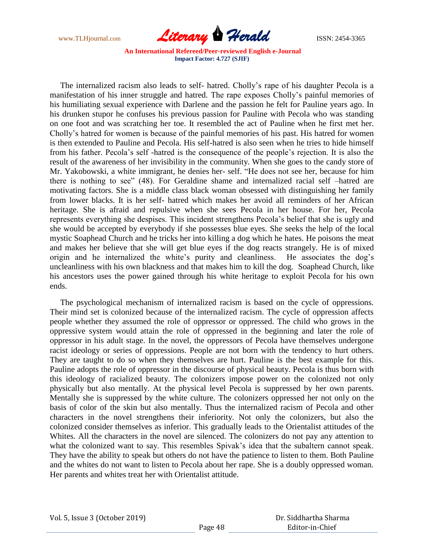

 The internalized racism also leads to self- hatred. Cholly's rape of his daughter Pecola is a manifestation of his inner struggle and hatred. The rape exposes Cholly's painful memories of his humiliating sexual experience with Darlene and the passion he felt for Pauline years ago. In his drunken stupor he confuses his previous passion for Pauline with Pecola who was standing on one foot and was scratching her toe. It resembled the act of Pauline when he first met her. Cholly's hatred for women is because of the painful memories of his past. His hatred for women is then extended to Pauline and Pecola. His self-hatred is also seen when he tries to hide himself from his father. Pecola's self -hatred is the consequence of the people's rejection. It is also the result of the awareness of her invisibility in the community. When she goes to the candy store of Mr. Yakobowski, a white immigrant, he denies her- self. "He does not see her, because for him there is nothing to see" (48). For Geraldine shame and internalized racial self –hatred are motivating factors. She is a middle class black woman obsessed with distinguishing her family from lower blacks. It is her self- hatred which makes her avoid all reminders of her African heritage. She is afraid and repulsive when she sees Pecola in her house. For her, Pecola represents everything she despises. This incident strengthens Pecola's belief that she is ugly and she would be accepted by everybody if she possesses blue eyes. She seeks the help of the local mystic Soaphead Church and he tricks her into killing a dog which he hates. He poisons the meat and makes her believe that she will get blue eyes if the dog reacts strangely. He is of mixed origin and he internalized the white's purity and cleanliness. He associates the dog's uncleanliness with his own blackness and that makes him to kill the dog. Soaphead Church, like his ancestors uses the power gained through his white heritage to exploit Pecola for his own ends.

 The psychological mechanism of internalized racism is based on the cycle of oppressions. Their mind set is colonized because of the internalized racism. The cycle of oppression affects people whether they assumed the role of oppressor or oppressed. The child who grows in the oppressive system would attain the role of oppressed in the beginning and later the role of oppressor in his adult stage. In the novel, the oppressors of Pecola have themselves undergone racist ideology or series of oppressions. People are not born with the tendency to hurt others. They are taught to do so when they themselves are hurt. Pauline is the best example for this. Pauline adopts the role of oppressor in the discourse of physical beauty. Pecola is thus born with this ideology of racialized beauty. The colonizers impose power on the colonized not only physically but also mentally. At the physical level Pecola is suppressed by her own parents. Mentally she is suppressed by the white culture. The colonizers oppressed her not only on the basis of color of the skin but also mentally. Thus the internalized racism of Pecola and other characters in the novel strengthens their inferiority. Not only the colonizers, but also the colonized consider themselves as inferior. This gradually leads to the Orientalist attitudes of the Whites. All the characters in the novel are silenced. The colonizers do not pay any attention to what the colonized want to say. This resembles Spivak's idea that the subaltern cannot speak. They have the ability to speak but others do not have the patience to listen to them. Both Pauline and the whites do not want to listen to Pecola about her rape. She is a doubly oppressed woman. Her parents and whites treat her with Orientalist attitude.

 Dr. Siddhartha Sharma Editor-in-Chief